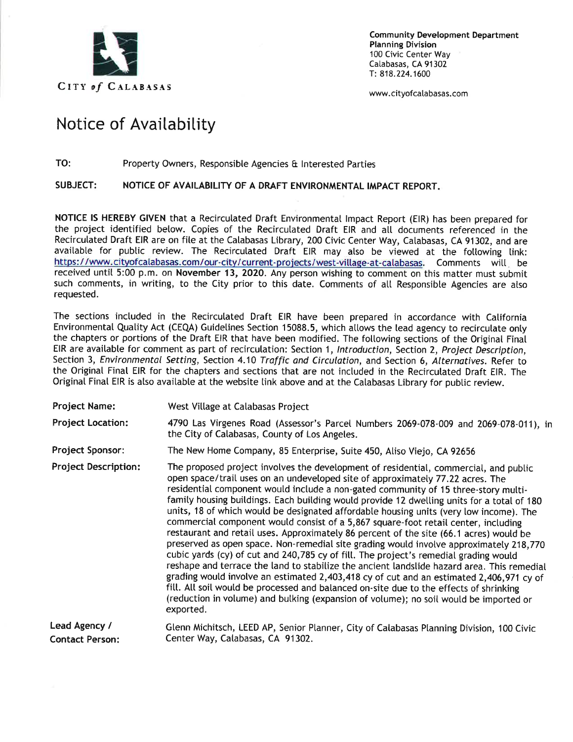

**Community Development Department Planning Division** 100 Civic Center Way Calabasas, CA 91302 T: 818.224.1600

www.cityofcalabasas.com

## **Notice of Availability**

## **TO:** Property Owners, Responsible Agencies & Interested Parties

## **SUBJECT: NOTICE OF AVAILABILITY OF A DRAFT ENVIRONMENTAL IMPACT REPORT.**

**NOTICE IS HEREBY GIVEN** that <sup>a</sup> Recirculated Draft Environmental Impact Report (EIR) has been prepared for the project identified below. Copies of the Recirculated Draft EIR and all documents referenced in the Recirculated Draft EIR are on file at the Calabasas Library, <sup>200</sup> Civic Center Way, Calabasas, CA <sup>91302</sup>, and are available for public review. The Recirculated Draft EIR may also be viewed at the following link: https:/ /www.citvofcalabasas.com/our-citv/current-proiects/west-village-at-calabasas. Comments will be received until <sup>5</sup>:<sup>00</sup> <sup>p</sup>.m. on **November <sup>13</sup>, 2020.** Any person wishing to comment on this matter must submit such comments, in writing, to the City prior to this date. Comments of all Responsible Agencies are also requested.

The sections included in the Recirculated Draft EIR have been prepared in accordance with California Environmental Quality Act (CEQA) Guidelines Section 15088.5, which allows the lead agency to recirculate only the chapters or portions of the Draft EIR that have been modified. The following sections of the Original Final EIR are available for comment as part of recirculation: Section <sup>1</sup>, *Introduction,* Section <sup>2</sup>, *Project Description,* Section <sup>3</sup>, *Environmental Setting,* Section 4.10 *Traffic and Circulation,* and Section <sup>6</sup>, *Alternatives.* Refer to the Original Final EIR for the chapters and sections that are not included in the Recirculated Draft EIR. The Original Final EIR is also available at the website link above and at the Calabasas Library for public review.

| <b>Project Name:</b>             | West Village at Calabasas Project                                                                                                                                                                                                                                                                                                                                                                                                                                                                                                                                                                                                                                                                                                                                                                                                                                                                                                                                                                                                                                                                                                                                                                               |
|----------------------------------|-----------------------------------------------------------------------------------------------------------------------------------------------------------------------------------------------------------------------------------------------------------------------------------------------------------------------------------------------------------------------------------------------------------------------------------------------------------------------------------------------------------------------------------------------------------------------------------------------------------------------------------------------------------------------------------------------------------------------------------------------------------------------------------------------------------------------------------------------------------------------------------------------------------------------------------------------------------------------------------------------------------------------------------------------------------------------------------------------------------------------------------------------------------------------------------------------------------------|
| <b>Project Location:</b>         | 4790 Las Virgenes Road (Assessor's Parcel Numbers 2069-078-009 and 2069-078-011), in<br>the City of Calabasas, County of Los Angeles.                                                                                                                                                                                                                                                                                                                                                                                                                                                                                                                                                                                                                                                                                                                                                                                                                                                                                                                                                                                                                                                                           |
| <b>Project Sponsor:</b>          | The New Home Company, 85 Enterprise, Suite 450, Aliso Viejo, CA 92656                                                                                                                                                                                                                                                                                                                                                                                                                                                                                                                                                                                                                                                                                                                                                                                                                                                                                                                                                                                                                                                                                                                                           |
| <b>Project Description:</b>      | The proposed project involves the development of residential, commercial, and public<br>open space/trail uses on an undeveloped site of approximately 77.22 acres. The<br>residential component would include a non-gated community of 15 three-story multi-<br>family housing buildings. Each building would provide 12 dwelling units for a total of 180<br>units, 18 of which would be designated affordable housing units (very low income). The<br>commercial component would consist of a 5,867 square-foot retail center, including<br>restaurant and retail uses. Approximately 86 percent of the site (66.1 acres) would be<br>preserved as open space. Non-remedial site grading would involve approximately 218,770<br>cubic yards (cy) of cut and 240,785 cy of fill. The project's remedial grading would<br>reshape and terrace the land to stabilize the ancient landslide hazard area. This remedial<br>grading would involve an estimated 2,403,418 cy of cut and an estimated 2,406,971 cy of<br>fill. All soil would be processed and balanced on-site due to the effects of shrinking<br>(reduction in volume) and bulking (expansion of volume); no soil would be imported or<br>exported. |
| Lead Agency /<br>Contact Person: | Glenn Michitsch, LEED AP, Senior Planner, City of Calabasas Planning Division, 100 Civic<br>Center Way, Calabasas, CA 91302.                                                                                                                                                                                                                                                                                                                                                                                                                                                                                                                                                                                                                                                                                                                                                                                                                                                                                                                                                                                                                                                                                    |